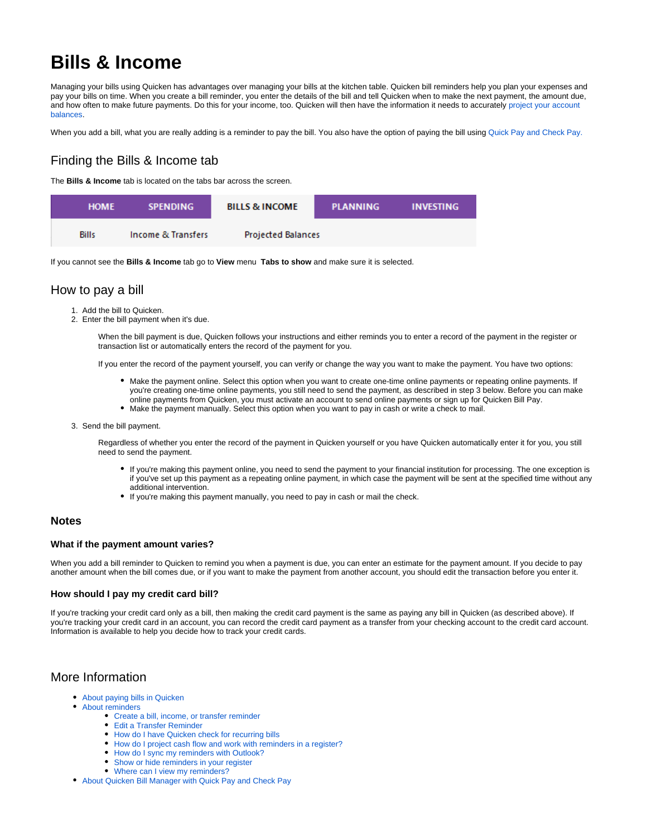# **Bills & Income**

Managing your bills using Quicken has advantages over managing your bills at the kitchen table. Quicken bill reminders help you plan your expenses and pay your bills on time. When you create a bill reminder, you enter the details of the bill and tell Quicken when to make the next payment, the amount due, and how often to make future payments. Do this for your income, too. Quicken will then have the information it needs to accurately project your account [balances](https://help.quicken.com/display/WIN/About+projecting+cash+flow).

When you add a bill, what you are really adding is a reminder to pay the bill. You also have the option of paying the bill using [Quick Pay and Check Pay.](https://help.quicken.com/display/WIN/Setting+up+Quicken+Bill+Manager+with+Quick+Pay+and+Check+Pay)

# Finding the Bills & Income tab

The **Bills & Income** tab is located on the tabs bar across the screen.

| <b>HOME</b>  | <b>SPENDING</b>    | <b>BILLS &amp; INCOME</b> | <b>PLANNING</b> | <b>INVESTING</b> |
|--------------|--------------------|---------------------------|-----------------|------------------|
| <b>Bills</b> | Income & Transfers | <b>Projected Balances</b> |                 |                  |

If you cannot see the **Bills & Income** tab go to **View** menu **Tabs to show** and make sure it is selected.

### How to pay a bill

- 1. Add the bill to Quicken.
- 2. Enter the bill payment when it's due.

When the bill payment is due, Quicken follows your instructions and either reminds you to enter a record of the payment in the register or transaction list or automatically enters the record of the payment for you.

If you enter the record of the payment yourself, you can verify or change the way you want to make the payment. You have two options:

- Make the payment online. Select this option when you want to create one-time online payments or repeating online payments. If you're creating one-time online payments, you still need to send the payment, as described in step 3 below. Before you can make online payments from Quicken, you must activate an account to send online payments or sign up for Quicken Bill Pay.
- Make the payment manually. Select this option when you want to pay in cash or write a check to mail.
- 3. Send the bill payment.

Regardless of whether you enter the record of the payment in Quicken yourself or you have Quicken automatically enter it for you, you still need to send the payment.

- If you're making this payment online, you need to send the payment to your financial institution for processing. The one exception is if you've set up this payment as a repeating online payment, in which case the payment will be sent at the specified time without any additional intervention.
- If you're making this payment manually, you need to pay in cash or mail the check.

#### **Notes**

#### **What if the payment amount varies?**

When you add a bill reminder to Quicken to remind you when a payment is due, you can enter an estimate for the payment amount. If you decide to pay another amount when the bill comes due, or if you want to make the payment from another account, you should edit the transaction before you enter it.

#### **How should I pay my credit card bill?**

If you're tracking your credit card only as a bill, then making the credit card payment is the same as paying any bill in Quicken (as described above). If you're tracking your credit card in an account, you can record the credit card payment as a transfer from your checking account to the credit card account. Information is available to help you decide how to track your credit cards.

## More Information

- [About paying bills in Quicken](https://help.quicken.com/display/WIN/About+paying+bills+in+Quicken)
- [About reminders](https://help.quicken.com/display/WIN/About+reminders)
	- [Create a bill, income, or transfer reminder](https://help.quicken.com/display/WIN/Create+a+bill%2C+income%2C+or+transfer+reminder)
	- [Edit a Transfer Reminder](https://help.quicken.com/display/WIN/Edit+a+Transfer+Reminder)
	- [How do I have Quicken check for recurring bills](https://help.quicken.com/display/WIN/How+do+I+have+Quicken+check+for+recurring+bills)
	- [How do I project cash flow and work with reminders in a register?](https://help.quicken.com/pages/viewpage.action?pageId=3216451)
	- [How do I sync my reminders with Outlook?](https://help.quicken.com/pages/viewpage.action?pageId=3217400)
	- [Show or hide reminders in your register](https://help.quicken.com/display/WIN/Show+or+hide+reminders+in+your+register)
	- [Where can I view my reminders?](https://help.quicken.com/pages/viewpage.action?pageId=3216992)
- [About Quicken Bill Manager with Quick Pay and Check Pay](https://help.quicken.com/display/WIN/About+Quicken+Bill+Manager+with+Quick+Pay+and+Check+Pay)